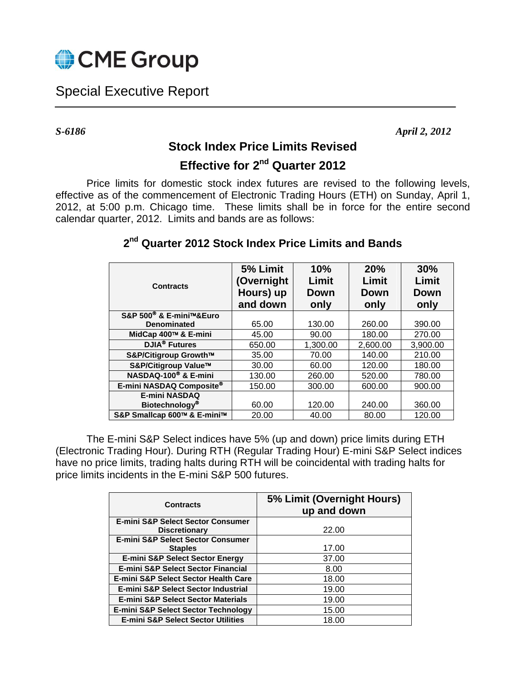

## Special Executive Report

*S-6186 April 2, 2012*

## **Stock Index Price Limits Revised**

## **Effective for 2<sup>nd</sup> Quarter 2012**

Price limits for domestic stock index futures are revised to the following levels, effective as of the commencement of Electronic Trading Hours (ETH) on Sunday, April 1, 2012, at 5:00 p.m. Chicago time. These limits shall be in force for the entire second calendar quarter, 2012. Limits and bands are as follows:

| <b>Contracts</b>                    | 5% Limit<br>(Overnight<br>Hours) up<br>and down | 10%<br>Limit<br>Down<br>only | 20%<br>Limit<br>Down<br>only | 30%<br>Limit<br><b>Down</b><br>only |
|-------------------------------------|-------------------------------------------------|------------------------------|------------------------------|-------------------------------------|
| S&P 500 <sup>®</sup> & E-mini™&Euro |                                                 |                              |                              |                                     |
| <b>Denominated</b>                  | 65.00                                           | 130.00                       | 260.00                       | 390.00                              |
| MidCap 400™ & E-mini                | 45.00                                           | 90.00                        | 180.00                       | 270.00                              |
| <b>DJIA<sup>®</sup></b> Futures     | 650.00                                          | 1,300.00                     | 2,600.00                     | 3,900.00                            |
| S&P/Citigroup Growth™               | 35.00                                           | 70.00                        | 140.00                       | 210.00                              |
| S&P/Citigroup Value™                | 30.00                                           | 60.00                        | 120.00                       | 180.00                              |
| NASDAQ-100 <sup>®</sup> & E-mini    | 130.00                                          | 260.00                       | 520.00                       | 780.00                              |
| E-mini NASDAQ Composite®            | 150.00                                          | 300.00                       | 600.00                       | 900.00                              |
| <b>E-mini NASDAQ</b>                |                                                 |                              |                              |                                     |
| Biotechnology <sup>®</sup>          | 60.00                                           | 120.00                       | 240.00                       | 360.00                              |
| S&P Smallcap 600™ & E-mini™         | 20.00                                           | 40.00                        | 80.00                        | 120.00                              |

## **2 nd Quarter 2012 Stock Index Price Limits and Bands**

The E-mini S&P Select indices have 5% (up and down) price limits during ETH (Electronic Trading Hour). During RTH (Regular Trading Hour) E-mini S&P Select indices have no price limits, trading halts during RTH will be coincidental with trading halts for price limits incidents in the E-mini S&P 500 futures.

| <b>Contracts</b>                                | 5% Limit (Overnight Hours)<br>up and down |  |  |
|-------------------------------------------------|-------------------------------------------|--|--|
| <b>E-mini S&amp;P Select Sector Consumer</b>    |                                           |  |  |
| <b>Discretionary</b>                            | 22.00                                     |  |  |
| <b>E-mini S&amp;P Select Sector Consumer</b>    |                                           |  |  |
| <b>Staples</b>                                  | 17.00                                     |  |  |
| <b>E-mini S&amp;P Select Sector Energy</b>      | 37.00                                     |  |  |
| <b>E-mini S&amp;P Select Sector Financial</b>   | 8.00                                      |  |  |
| <b>E-mini S&amp;P Select Sector Health Care</b> | 18.00                                     |  |  |
| E-mini S&P Select Sector Industrial             | 19.00                                     |  |  |
| <b>E-mini S&amp;P Select Sector Materials</b>   | 19.00                                     |  |  |
| <b>E-mini S&amp;P Select Sector Technology</b>  | 15.00                                     |  |  |
| <b>E-mini S&amp;P Select Sector Utilities</b>   | 18.00                                     |  |  |